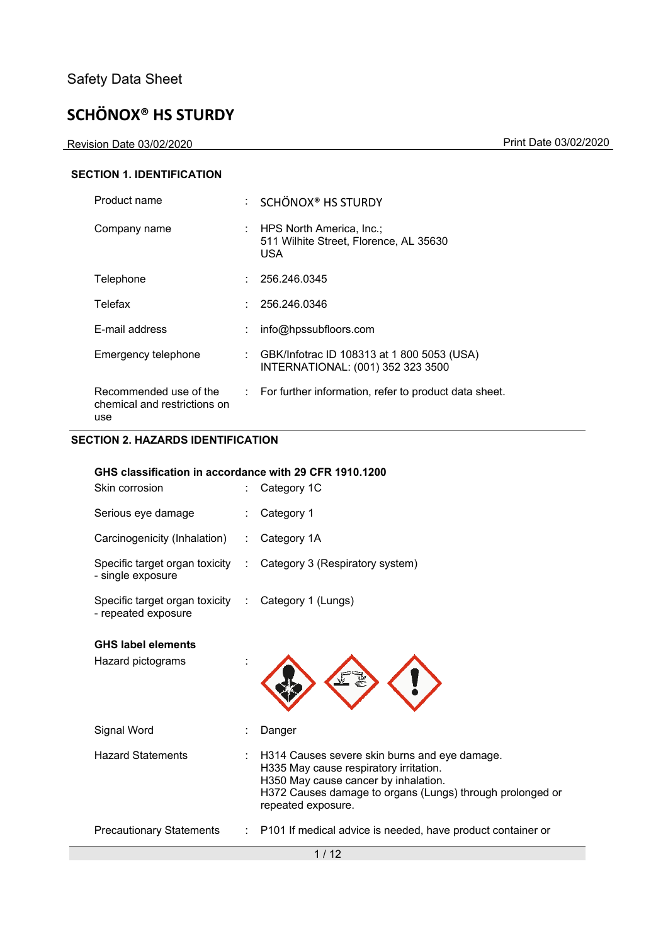Revision Date 03/02/2020 Print Date 03/02/2020

#### **SECTION 1. IDENTIFICATION**

| Product name                                                  |    | $\therefore$ SCHÖNOX <sup>®</sup> HS STURDY                                     |
|---------------------------------------------------------------|----|---------------------------------------------------------------------------------|
| Company name                                                  |    | : HPS North America, Inc.;<br>511 Wilhite Street. Florence. AL 35630<br>USA     |
| Telephone                                                     |    | 256.246.0345                                                                    |
| Telefax                                                       |    | 256.246.0346                                                                    |
| E-mail address                                                |    | info@hpssubfloors.com                                                           |
| Emergency telephone                                           | t. | GBK/Infotrac ID 108313 at 1 800 5053 (USA)<br>INTERNATIONAL: (001) 352 323 3500 |
| Recommended use of the<br>chemical and restrictions on<br>use |    | : For further information, refer to product data sheet.                         |

### **SECTION 2. HAZARDS IDENTIFICATION**

#### **GHS classification in accordance with 29 CFR 1910.1200**

| Skin corrosion                                          |    | Category 1C                                                                                                                                                                                                        |
|---------------------------------------------------------|----|--------------------------------------------------------------------------------------------------------------------------------------------------------------------------------------------------------------------|
| Serious eye damage                                      |    | Category 1                                                                                                                                                                                                         |
| Carcinogenicity (Inhalation)                            | ÷. | Category 1A                                                                                                                                                                                                        |
| Specific target organ toxicity :<br>- single exposure   |    | Category 3 (Respiratory system)                                                                                                                                                                                    |
| Specific target organ toxicity :<br>- repeated exposure |    | Category 1 (Lungs)                                                                                                                                                                                                 |
| <b>GHS label elements</b><br>Hazard pictograms          |    |                                                                                                                                                                                                                    |
| Signal Word                                             |    | Danger                                                                                                                                                                                                             |
| <b>Hazard Statements</b>                                |    | H314 Causes severe skin burns and eye damage.<br>H335 May cause respiratory irritation.<br>H350 May cause cancer by inhalation.<br>H372 Causes damage to organs (Lungs) through prolonged or<br>repeated exposure. |
| <b>Precautionary Statements</b>                         |    | : P101 If medical advice is needed, have product container or                                                                                                                                                      |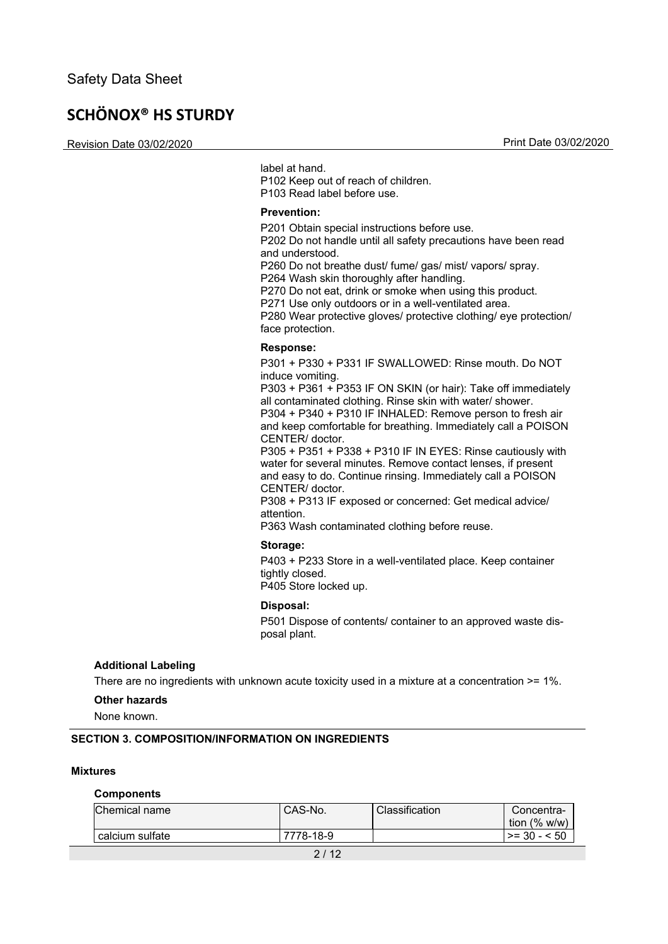Revision Date 03/02/2020 Print Date 03/02/2020

label at hand.

P102 Keep out of reach of children. P103 Read label before use.

#### **Prevention:**

P201 Obtain special instructions before use.

P202 Do not handle until all safety precautions have been read and understood.

P260 Do not breathe dust/ fume/ gas/ mist/ vapors/ spray.

P264 Wash skin thoroughly after handling.

P270 Do not eat, drink or smoke when using this product.

P271 Use only outdoors or in a well-ventilated area.

P280 Wear protective gloves/ protective clothing/ eye protection/ face protection.

#### **Response:**

P301 + P330 + P331 IF SWALLOWED: Rinse mouth. Do NOT induce vomiting.

P303 + P361 + P353 IF ON SKIN (or hair): Take off immediately all contaminated clothing. Rinse skin with water/ shower.

P304 + P340 + P310 IF INHALED: Remove person to fresh air and keep comfortable for breathing. Immediately call a POISON CENTER/ doctor.

P305 + P351 + P338 + P310 IF IN EYES: Rinse cautiously with water for several minutes. Remove contact lenses, if present and easy to do. Continue rinsing. Immediately call a POISON CENTER/ doctor.

P308 + P313 IF exposed or concerned: Get medical advice/ attention.

P363 Wash contaminated clothing before reuse.

#### **Storage:**

P403 + P233 Store in a well-ventilated place. Keep container tightly closed. P405 Store locked up.

#### **Disposal:**

P501 Dispose of contents/ container to an approved waste disposal plant.

#### **Additional Labeling**

There are no ingredients with unknown acute toxicity used in a mixture at a concentration >= 1%.

#### **Other hazards**

None known.

#### **SECTION 3. COMPOSITION/INFORMATION ON INGREDIENTS**

#### **Mixtures**

#### **Components**

| Chemical name   | CAS-No.   | Classification | Concentra-<br>tion $(% w/w)$ |
|-----------------|-----------|----------------|------------------------------|
| calcium sulfate | 7778-18-9 |                | l >= 30 - < 50               |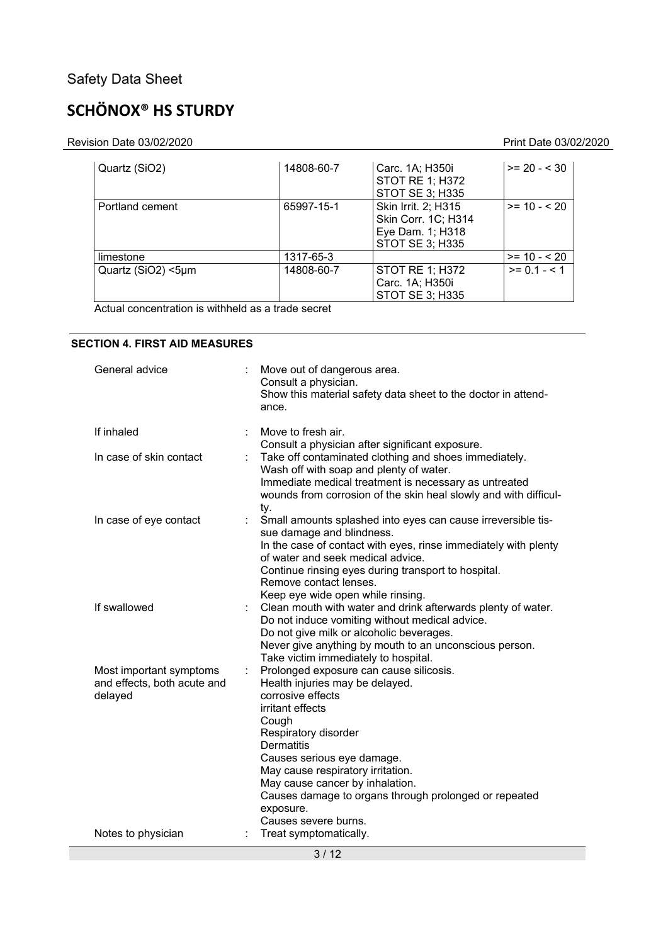# **SCHÖNOX® HS STURDY**

Revision Date 03/02/2020 Print Date 03/02/2020

| Quartz (SiO2)      | 14808-60-7 | Carc. 1A; H350i<br><b>STOT RE 1; H372</b><br><b>STOT SE 3; H335</b>                      | $>= 20 - 30$   |
|--------------------|------------|------------------------------------------------------------------------------------------|----------------|
| Portland cement    | 65997-15-1 | Skin Irrit. 2; H315<br>Skin Corr. 1C; H314<br>Eye Dam. 1; H318<br><b>STOT SE 3; H335</b> | $>= 10 - 20$   |
| limestone          | 1317-65-3  |                                                                                          | $>= 10 - 20$   |
| Quartz (SiO2) <5µm | 14808-60-7 | <b>STOT RE 1; H372</b><br>Carc. 1A; H350i<br>STOT SE 3; H335                             | $>= 0.1 - 5.1$ |

Actual concentration is withheld as a trade secret

#### **SECTION 4. FIRST AID MEASURES**

| General advice                                                    |    | Move out of dangerous area.<br>Consult a physician.<br>Show this material safety data sheet to the doctor in attend-<br>ance.                                                                                                                                                                                                                                                 |
|-------------------------------------------------------------------|----|-------------------------------------------------------------------------------------------------------------------------------------------------------------------------------------------------------------------------------------------------------------------------------------------------------------------------------------------------------------------------------|
| If inhaled                                                        |    | Move to fresh air.<br>Consult a physician after significant exposure.                                                                                                                                                                                                                                                                                                         |
| In case of skin contact                                           |    | Take off contaminated clothing and shoes immediately.<br>Wash off with soap and plenty of water.<br>Immediate medical treatment is necessary as untreated<br>wounds from corrosion of the skin heal slowly and with difficul-<br>ty.                                                                                                                                          |
| In case of eye contact                                            |    | Small amounts splashed into eyes can cause irreversible tis-<br>sue damage and blindness.<br>In the case of contact with eyes, rinse immediately with plenty<br>of water and seek medical advice.                                                                                                                                                                             |
|                                                                   |    | Continue rinsing eyes during transport to hospital.<br>Remove contact lenses.                                                                                                                                                                                                                                                                                                 |
| If swallowed                                                      |    | Keep eye wide open while rinsing.<br>Clean mouth with water and drink afterwards plenty of water.<br>Do not induce vomiting without medical advice.<br>Do not give milk or alcoholic beverages.<br>Never give anything by mouth to an unconscious person.<br>Take victim immediately to hospital.                                                                             |
| Most important symptoms<br>and effects, both acute and<br>delayed | t. | Prolonged exposure can cause silicosis.<br>Health injuries may be delayed.<br>corrosive effects<br>irritant effects<br>Cough<br>Respiratory disorder<br><b>Dermatitis</b><br>Causes serious eye damage.<br>May cause respiratory irritation.<br>May cause cancer by inhalation.<br>Causes damage to organs through prolonged or repeated<br>exposure.<br>Causes severe burns. |
| Notes to physician                                                |    | Treat symptomatically.                                                                                                                                                                                                                                                                                                                                                        |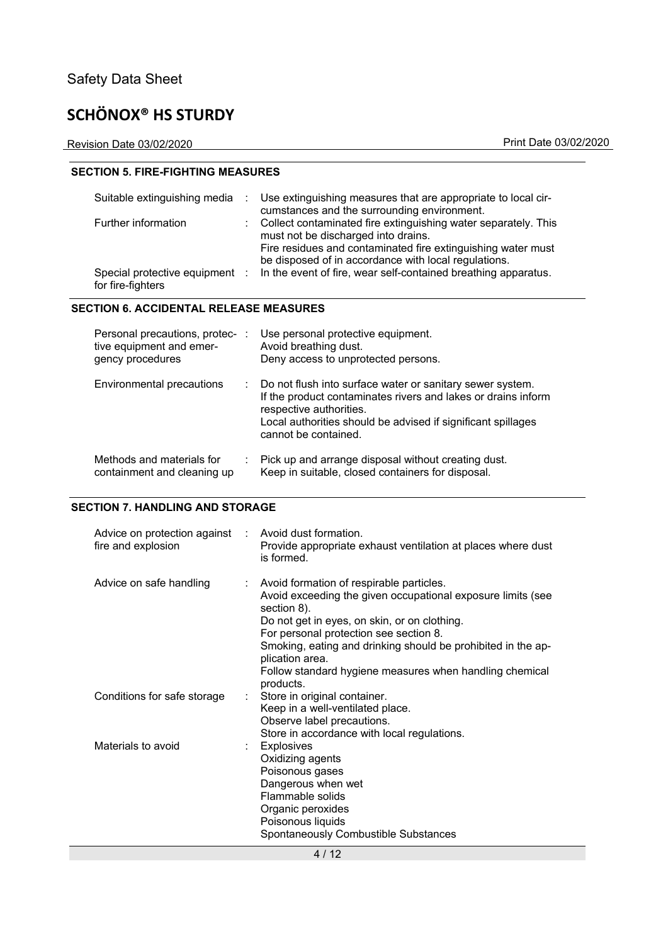Revision Date 03/02/2020 Print Date 03/02/2020

#### **SECTION 5. FIRE-FIGHTING MEASURES**

| Suitable extinguishing media                        | <b>Contract</b> | Use extinguishing measures that are appropriate to local cir-<br>cumstances and the surrounding environment.                                                                                                                    |
|-----------------------------------------------------|-----------------|---------------------------------------------------------------------------------------------------------------------------------------------------------------------------------------------------------------------------------|
| Further information                                 |                 | : Collect contaminated fire extinguishing water separately. This<br>must not be discharged into drains.<br>Fire residues and contaminated fire extinguishing water must<br>be disposed of in accordance with local regulations. |
| Special protective equipment :<br>for fire-fighters |                 | In the event of fire, wear self-contained breathing apparatus.                                                                                                                                                                  |

#### **SECTION 6. ACCIDENTAL RELEASE MEASURES**

| Personal precautions, protec- :<br>tive equipment and emer-<br>gency procedures |    | Use personal protective equipment.<br>Avoid breathing dust.<br>Deny access to unprotected persons.                                                                                                                                              |
|---------------------------------------------------------------------------------|----|-------------------------------------------------------------------------------------------------------------------------------------------------------------------------------------------------------------------------------------------------|
| Environmental precautions                                                       |    | : Do not flush into surface water or sanitary sewer system.<br>If the product contaminates rivers and lakes or drains inform<br>respective authorities.<br>Local authorities should be advised if significant spillages<br>cannot be contained. |
| Methods and materials for<br>containment and cleaning up                        | ÷. | Pick up and arrange disposal without creating dust.<br>Keep in suitable, closed containers for disposal.                                                                                                                                        |

#### **SECTION 7. HANDLING AND STORAGE**

| Advice on protection against : Avoid dust formation.<br>fire and explosion | Provide appropriate exhaust ventilation at places where dust<br>is formed.                                                                                                                                                                                                                                                                                                  |
|----------------------------------------------------------------------------|-----------------------------------------------------------------------------------------------------------------------------------------------------------------------------------------------------------------------------------------------------------------------------------------------------------------------------------------------------------------------------|
| Advice on safe handling<br>$\mathbb{R}^n$                                  | Avoid formation of respirable particles.<br>Avoid exceeding the given occupational exposure limits (see<br>section 8).<br>Do not get in eyes, on skin, or on clothing.<br>For personal protection see section 8.<br>Smoking, eating and drinking should be prohibited in the ap-<br>plication area.<br>Follow standard hygiene measures when handling chemical<br>products. |
| Conditions for safe storage<br>t.                                          | Store in original container.<br>Keep in a well-ventilated place.<br>Observe label precautions.<br>Store in accordance with local regulations.                                                                                                                                                                                                                               |
| Materials to avoid                                                         | <b>Explosives</b><br>Oxidizing agents<br>Poisonous gases<br>Dangerous when wet<br>Flammable solids<br>Organic peroxides<br>Poisonous liquids<br>Spontaneously Combustible Substances                                                                                                                                                                                        |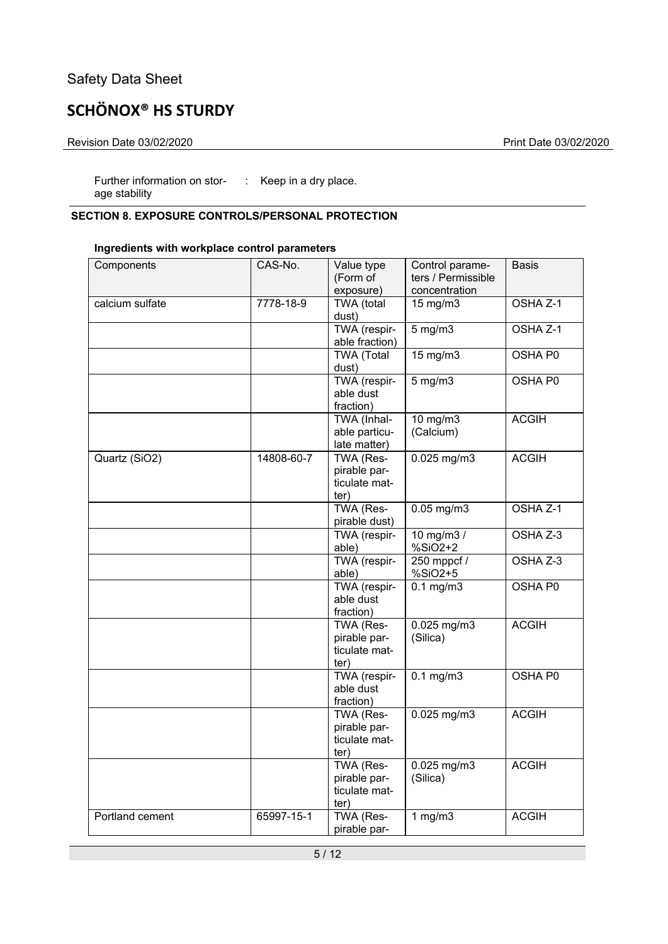# **SCHÖNOX® HS STURDY**

#### Revision Date 03/02/2020 Print Date 03/02/2020

Further information on stor-: Keep in a dry place. age stability

### **SECTION 8. EXPOSURE CONTROLS/PERSONAL PROTECTION**

#### **Ingredients with workplace control parameters**

| Components      | CAS-No.    | Value type<br>(Form of<br>exposure)                       | Control parame-<br>ters / Permissible<br>concentration | <b>Basis</b>        |
|-----------------|------------|-----------------------------------------------------------|--------------------------------------------------------|---------------------|
| calcium sulfate | 7778-18-9  | <b>TWA</b> (total<br>dust)                                | 15 mg/m3                                               | OSHA <sub>Z-1</sub> |
|                 |            | TWA (respir-<br>able fraction)                            | $5$ mg/m $3$                                           | OSHA <sub>Z-1</sub> |
|                 |            | <b>TWA (Total</b><br>dust)                                | $15 \text{ mg/m}$                                      | OSHA P0             |
|                 |            | TWA (respir-<br>able dust<br>fraction)                    | $5 \,\mathrm{mg/m}$                                    | OSHA P0             |
|                 |            | TWA (Inhal-<br>able particu-<br>late matter)              | 10 mg/m3<br>(Calcium)                                  | <b>ACGIH</b>        |
| Quartz (SiO2)   | 14808-60-7 | TWA (Res-<br>pirable par-<br>ticulate mat-<br>ter)        | $0.025$ mg/m $3$                                       | <b>ACGIH</b>        |
|                 |            | TWA (Res-<br>pirable dust)                                | $0.05$ mg/m $3$                                        | OSHA Z-1            |
|                 |            | TWA (respir-<br>able)                                     | 10 mg/m $3/$<br>$%SiO2+2$                              | OSHA Z-3            |
|                 |            | TWA (respir-<br>able)                                     | 250 mppcf /<br>$%SiO2+5$                               | OSHA Z-3            |
|                 |            | TWA (respir-<br>able dust<br>fraction)                    | $0.1 \text{ mg/m}$                                     | OSHA P0             |
|                 |            | <b>TWA (Res-</b><br>pirable par-<br>ticulate mat-<br>ter) | $0.025$ mg/m $3$<br>(Silica)                           | <b>ACGIH</b>        |
|                 |            | TWA (respir-<br>able dust<br>fraction)                    | $0.1 \text{ mg/m}$                                     | OSHA P0             |
|                 |            | TWA (Res-<br>pirable par-<br>ticulate mat-<br>ter)        | $0.025$ mg/m3                                          | <b>ACGIH</b>        |
|                 |            | TWA (Res-<br>pirable par-<br>ticulate mat-<br>ter)        | $0.025$ mg/m3<br>(Silica)                              | <b>ACGIH</b>        |
| Portland cement | 65997-15-1 | TWA (Res-<br>pirable par-                                 | 1 $mg/m3$                                              | <b>ACGIH</b>        |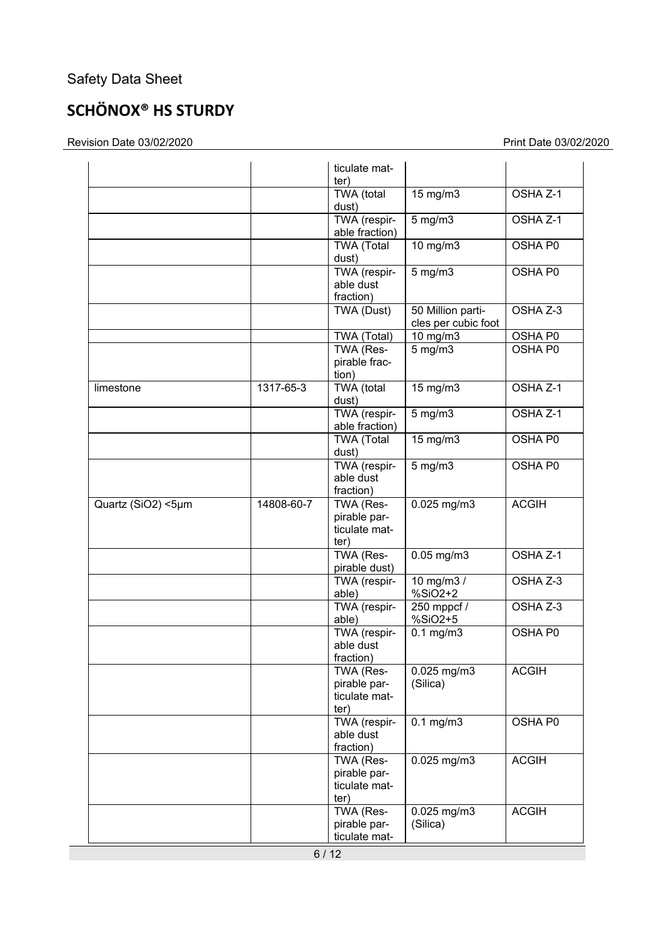# **SCHÖNOX® HS STURDY**

Revision Date 03/02/2020 Print Date 03/02/2020

|                    |            | ticulate mat-<br>ter)                              |                                          |                |
|--------------------|------------|----------------------------------------------------|------------------------------------------|----------------|
|                    |            | <b>TWA</b> (total<br>dust)                         | 15 mg/m3                                 | OSHA Z-1       |
|                    |            | TWA (respir-<br>able fraction)                     | $5$ mg/m $3$                             | OSHA Z-1       |
|                    |            | <b>TWA (Total</b><br>dust)                         | $10$ mg/m $3$                            | OSHA P0        |
|                    |            | TWA (respir-<br>able dust<br>fraction)             | $5 \text{ mg/m}$                         | <b>OSHA P0</b> |
|                    |            | TWA (Dust)                                         | 50 Million parti-<br>cles per cubic foot | OSHA Z-3       |
|                    |            | TWA (Total)                                        | $10$ mg/m $3$                            | OSHA P0        |
|                    |            | TWA (Res-<br>pirable frac-<br>tion)                | $5$ mg/m $3$                             | OSHA P0        |
| limestone          | 1317-65-3  | <b>TWA</b> (total<br>dust)                         | 15 mg/m3                                 | OSHA Z-1       |
|                    |            | TWA (respir-<br>able fraction)                     | $5$ mg/m $3$                             | OSHA Z-1       |
|                    |            | <b>TWA (Total</b><br>dust)                         | $15$ mg/m $3$                            | OSHA P0        |
|                    |            | TWA (respir-<br>able dust<br>fraction)             | $5$ mg/m $3$                             | OSHA P0        |
| Quartz (SiO2) <5µm | 14808-60-7 | TWA (Res-<br>pirable par-<br>ticulate mat-<br>ter) | $0.025$ mg/m3                            | <b>ACGIH</b>   |
|                    |            | TWA (Res-<br>pirable dust)                         | $0.05$ mg/m $3$                          | OSHA Z-1       |
|                    |            | TWA (respir-<br>able)                              | 10 mg/m $3/$<br>$%SiO2+2$                | OSHA Z-3       |
|                    |            | TWA (respir-<br>able)                              | 250 mppcf /<br>$%SiO2+5$                 | OSHA Z-3       |
|                    |            | TWA (respir-<br>able dust<br>fraction)             | $0.1$ mg/m $3$                           | OSHA P0        |
|                    |            | TWA (Res-<br>pirable par-<br>ticulate mat-<br>ter) | 0.025 mg/m3<br>(Silica)                  | <b>ACGIH</b>   |
|                    |            | TWA (respir-<br>able dust<br>fraction)             | $0.1$ mg/m $3$                           | OSHA P0        |
|                    |            | TWA (Res-<br>pirable par-<br>ticulate mat-<br>ter) | 0.025 mg/m3                              | <b>ACGIH</b>   |
|                    |            | TWA (Res-<br>pirable par-<br>ticulate mat-         | 0.025 mg/m3<br>(Silica)                  | <b>ACGIH</b>   |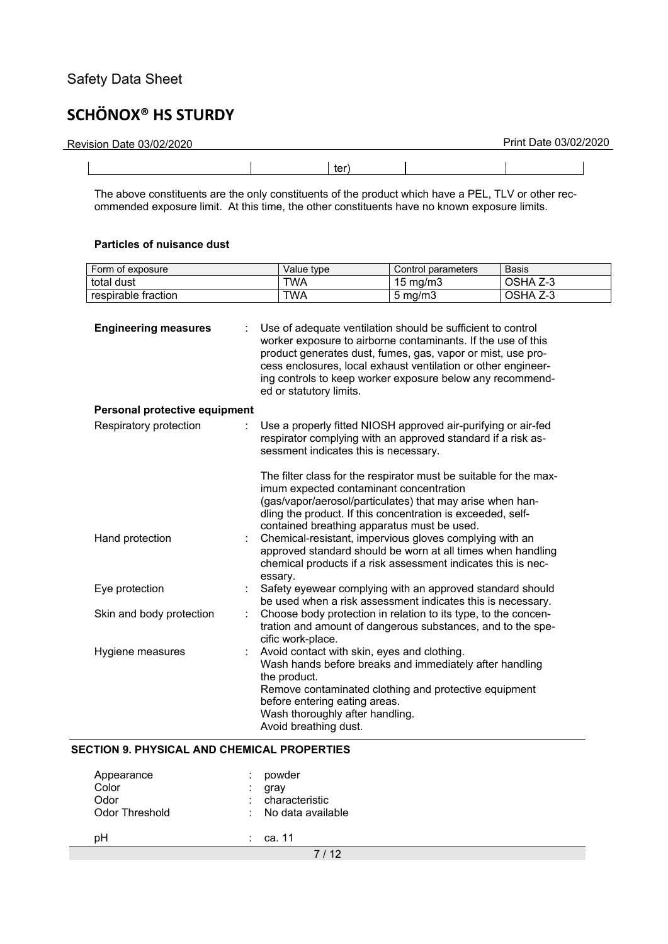J.

# **SCHÖNOX® HS STURDY**

| Revision Date 03/02/2020 |     |  | Print Date 03/02/2020 |
|--------------------------|-----|--|-----------------------|
|                          | ter |  |                       |

The above constituents are the only constituents of the product which have a PEL, TLV or other recommended exposure limit. At this time, the other constituents have no known exposure limits.

#### **Particles of nuisance dust**

| Form of exposure              | Value type                                                                                                                                                                                                                                                                             | Control parameters                                                                                                                                                                                                                                                                                                                                                 | <b>Basis</b> |  |  |
|-------------------------------|----------------------------------------------------------------------------------------------------------------------------------------------------------------------------------------------------------------------------------------------------------------------------------------|--------------------------------------------------------------------------------------------------------------------------------------------------------------------------------------------------------------------------------------------------------------------------------------------------------------------------------------------------------------------|--------------|--|--|
| total dust                    | <b>TWA</b>                                                                                                                                                                                                                                                                             | $15$ mg/m $3$                                                                                                                                                                                                                                                                                                                                                      | OSHA Z-3     |  |  |
| respirable fraction           | <b>TWA</b>                                                                                                                                                                                                                                                                             | $5 \text{ mg/m}$                                                                                                                                                                                                                                                                                                                                                   | OSHA Z-3     |  |  |
| <b>Engineering measures</b>   | ed or statutory limits.                                                                                                                                                                                                                                                                | Use of adequate ventilation should be sufficient to control<br>worker exposure to airborne contaminants. If the use of this<br>product generates dust, fumes, gas, vapor or mist, use pro-<br>cess enclosures, local exhaust ventilation or other engineer-<br>ing controls to keep worker exposure below any recommend-                                           |              |  |  |
| Personal protective equipment |                                                                                                                                                                                                                                                                                        |                                                                                                                                                                                                                                                                                                                                                                    |              |  |  |
| Respiratory protection        | Use a properly fitted NIOSH approved air-purifying or air-fed<br>respirator complying with an approved standard if a risk as-<br>sessment indicates this is necessary.<br>The filter class for the respirator must be suitable for the max-<br>imum expected contaminant concentration |                                                                                                                                                                                                                                                                                                                                                                    |              |  |  |
| Hand protection               | essary.                                                                                                                                                                                                                                                                                | (gas/vapor/aerosol/particulates) that may arise when han-<br>dling the product. If this concentration is exceeded, self-<br>contained breathing apparatus must be used.<br>Chemical-resistant, impervious gloves complying with an<br>approved standard should be worn at all times when handling<br>chemical products if a risk assessment indicates this is nec- |              |  |  |
| Eye protection                |                                                                                                                                                                                                                                                                                        | Safety eyewear complying with an approved standard should<br>be used when a risk assessment indicates this is necessary.                                                                                                                                                                                                                                           |              |  |  |
| Skin and body protection      | cific work-place.                                                                                                                                                                                                                                                                      | Choose body protection in relation to its type, to the concen-<br>tration and amount of dangerous substances, and to the spe-                                                                                                                                                                                                                                      |              |  |  |
| Hygiene measures              | Avoid contact with skin, eyes and clothing.<br>the product.<br>before entering eating areas.<br>Wash thoroughly after handling.<br>Avoid breathing dust.                                                                                                                               | Wash hands before breaks and immediately after handling<br>Remove contaminated clothing and protective equipment                                                                                                                                                                                                                                                   |              |  |  |

#### **SECTION 9. PHYSICAL AND CHEMICAL PROPERTIES**

| Appearance<br>Color<br>Odor<br><b>Odor Threshold</b> | powder<br>gray<br>: characteristic<br>$\therefore$ No data available |
|------------------------------------------------------|----------------------------------------------------------------------|
| pН                                                   | ca. 11                                                               |
|                                                      | 7/12                                                                 |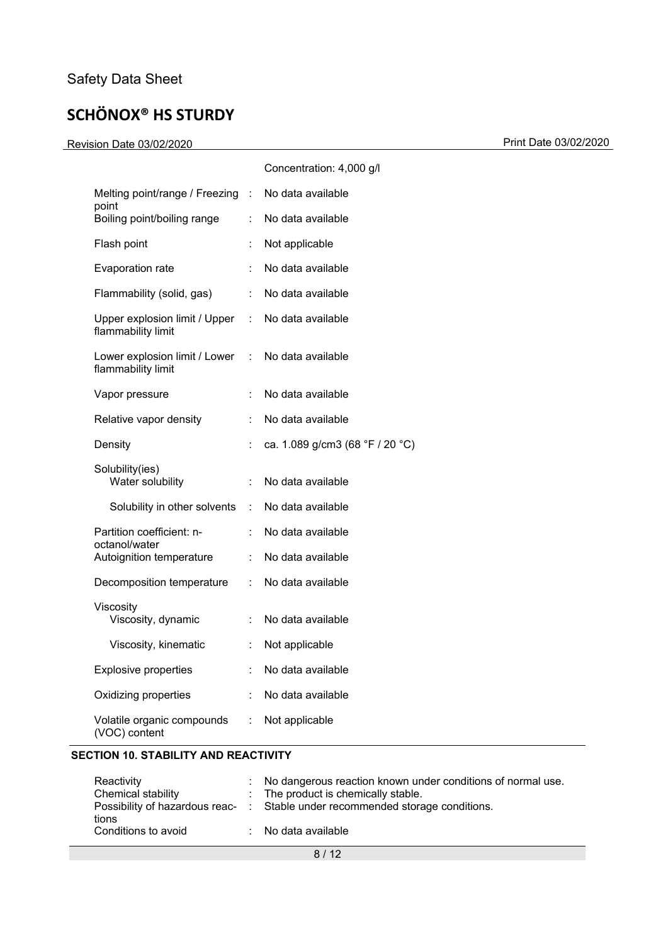Print Date 03/02/2020 Print Date 03/02/2020

|                                                     |                           | Concentration: 4,000 g/l        |
|-----------------------------------------------------|---------------------------|---------------------------------|
| Melting point/range / Freezing                      | $\mathbb{Z}^n$            | No data available               |
| point<br>Boiling point/boiling range                | ÷                         | No data available               |
| Flash point                                         |                           | Not applicable                  |
| Evaporation rate                                    |                           | No data available               |
| Flammability (solid, gas)                           | ÷                         | No data available               |
| Upper explosion limit / Upper<br>flammability limit | $\mathbb{R}^{\mathbb{Z}}$ | No data available               |
| Lower explosion limit / Lower<br>flammability limit | t.                        | No data available               |
| Vapor pressure                                      | ÷.                        | No data available               |
| Relative vapor density                              |                           | No data available               |
| Density                                             |                           | ca. 1.089 g/cm3 (68 °F / 20 °C) |
| Solubility(ies)<br>Water solubility                 | ÷                         | No data available               |
| Solubility in other solvents                        | ÷                         | No data available               |
| Partition coefficient: n-                           |                           | No data available               |
| octanol/water<br>Autoignition temperature           | ÷                         | No data available               |
| Decomposition temperature                           | t.                        | No data available               |
| Viscosity<br>Viscosity, dynamic                     |                           | No data available               |
| Viscosity, kinematic                                | ÷                         | Not applicable                  |
| <b>Explosive properties</b>                         |                           | No data available               |
| Oxidizing properties                                | ÷                         | No data available               |
| Volatile organic compounds<br>(VOC) content         | t.                        | Not applicable                  |

#### **SECTION 10. STABILITY AND REACTIVITY**

| Reactivity          | : No dangerous reaction known under conditions of normal use.                 |
|---------------------|-------------------------------------------------------------------------------|
| Chemical stability  | : The product is chemically stable.                                           |
| tions               | Possibility of hazardous reac- : Stable under recommended storage conditions. |
| Conditions to avoid | : No data available                                                           |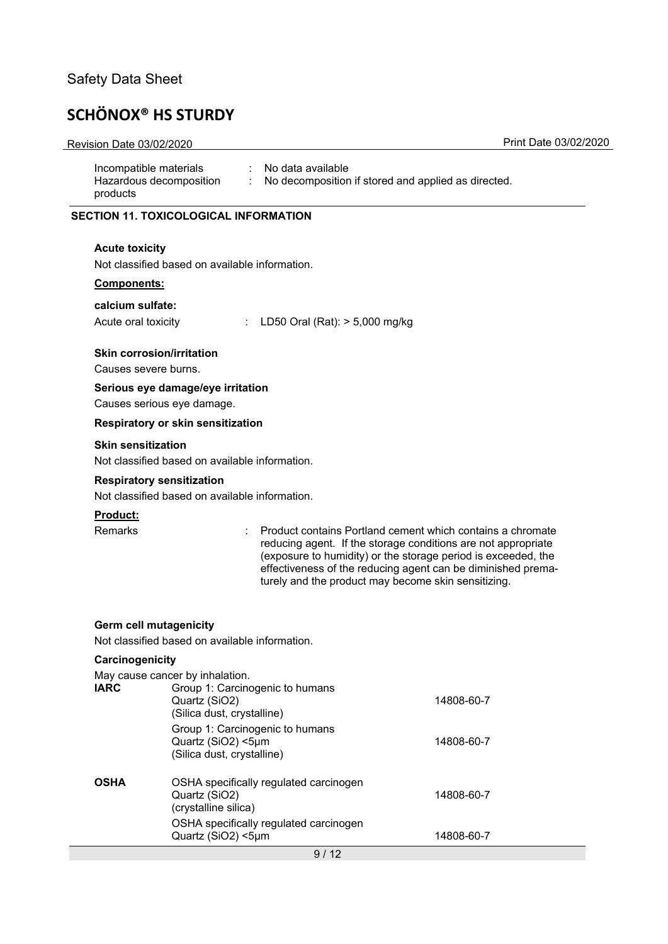# **SCHÖNOX® HS STURDY**

#### Revision Date 03/02/2020 Print Date 03/02/2020

| $\therefore$ No data available<br>: No decomposition if stored and applied as directed. |
|-----------------------------------------------------------------------------------------|
|                                                                                         |
|                                                                                         |

#### **SECTION 11. TOXICOLOGICAL INFORMATION**

#### **Acute toxicity**

Not classified based on available information.

#### **Components:**

#### **calcium sulfate:**

| Acute oral toxicity |  |
|---------------------|--|
|---------------------|--|

 $LD50$  Oral (Rat):  $> 5,000$  mg/kg

#### **Skin corrosion/irritation**

Causes severe burns.

#### **Serious eye damage/eye irritation**

Causes serious eye damage.

#### **Respiratory or skin sensitization**

#### **Skin sensitization**

Not classified based on available information.

#### **Respiratory sensitization**

Not classified based on available information.

#### **Product:**

Remarks : Product contains Portland cement which contains a chromate reducing agent. If the storage conditions are not appropriate (exposure to humidity) or the storage period is exceeded, the effectiveness of the reducing agent can be diminished prematurely and the product may become skin sensitizing.

#### **Germ cell mutagenicity**

Not classified based on available information.

| Carcinogenicity |                                                                                     |            |
|-----------------|-------------------------------------------------------------------------------------|------------|
|                 | May cause cancer by inhalation.                                                     |            |
| <b>IARC</b>     | Group 1: Carcinogenic to humans<br>Quartz (SiO2)<br>(Silica dust, crystalline)      | 14808-60-7 |
|                 | Group 1: Carcinogenic to humans<br>Quartz (SiO2) <5µm<br>(Silica dust, crystalline) | 14808-60-7 |
| <b>OSHA</b>     | OSHA specifically regulated carcinogen<br>Quartz (SiO2)<br>(crystalline silica)     | 14808-60-7 |
|                 | OSHA specifically regulated carcinogen<br>Quartz (SiO2) <5µm                        | 14808-60-7 |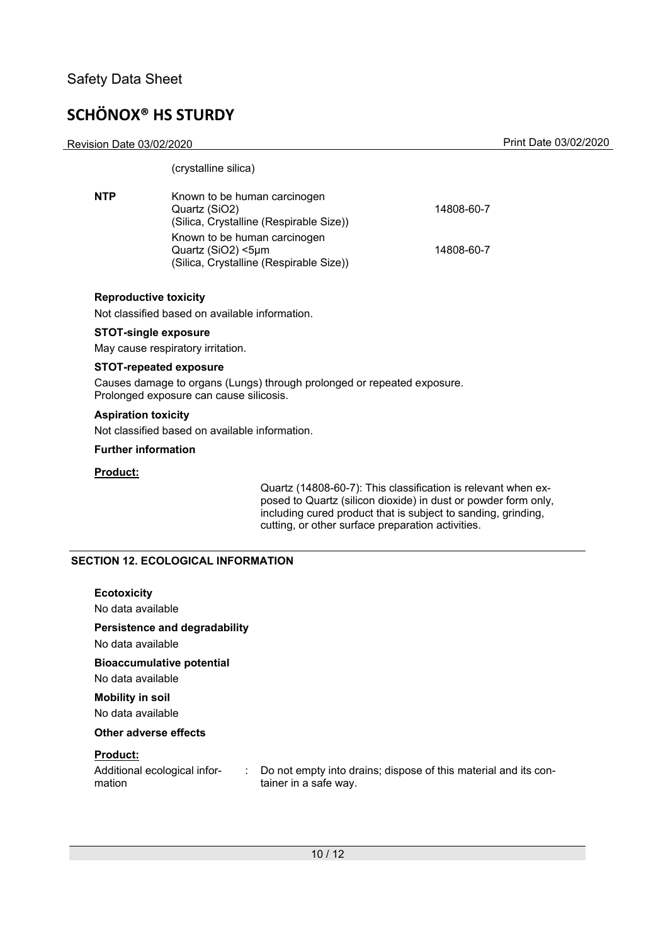Revision Date 03/02/2020 Print Date 03/02/2020

| (crystalline silica)                                                                          |            |
|-----------------------------------------------------------------------------------------------|------------|
| Known to be human carcinogen<br>Quartz (SiO2)<br>(Silica, Crystalline (Respirable Size))      | 14808-60-7 |
| Known to be human carcinogen<br>Quartz (SiO2) <5µm<br>(Silica, Crystalline (Respirable Size)) | 14808-60-7 |
|                                                                                               |            |

#### **Reproductive toxicity**

Not classified based on available information.

#### **STOT-single exposure**

May cause respiratory irritation.

#### **STOT-repeated exposure**

Causes damage to organs (Lungs) through prolonged or repeated exposure. Prolonged exposure can cause silicosis.

#### **Aspiration toxicity**

Not classified based on available information.

#### **Further information**

#### **Product:**

Quartz (14808-60-7): This classification is relevant when exposed to Quartz (silicon dioxide) in dust or powder form only, including cured product that is subject to sanding, grinding, cutting, or other surface preparation activities.

#### **SECTION 12. ECOLOGICAL INFORMATION**

#### **Ecotoxicity**

No data available

#### **Persistence and degradability**

No data available

#### **Bioaccumulative potential**

No data available

#### **Mobility in soil**  No data available

**Other adverse effects** 

#### **Product:**

Additional ecological information

: Do not empty into drains; dispose of this material and its container in a safe way.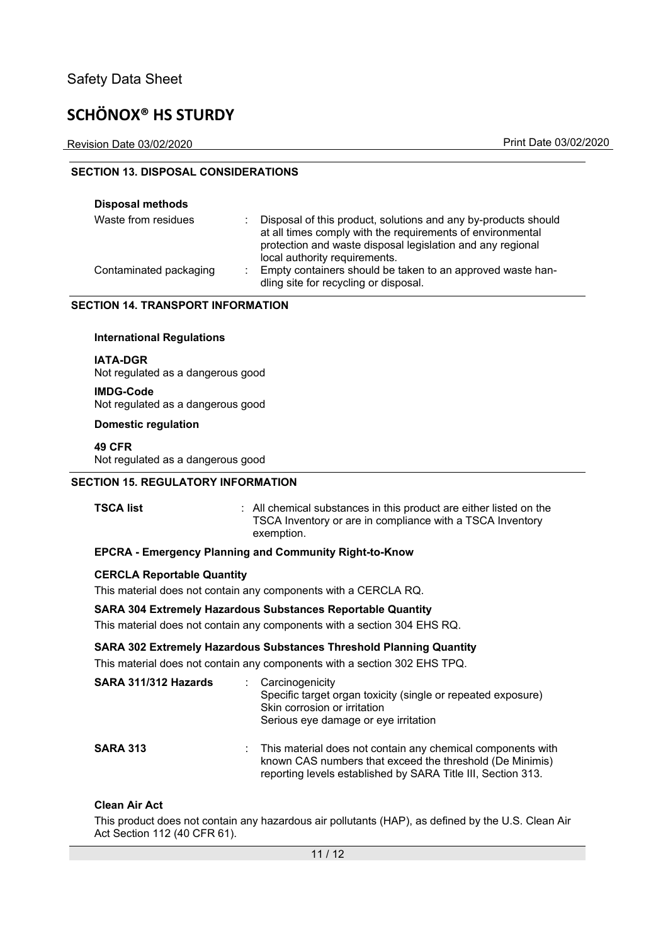Revision Date 03/02/2020 Print Date 03/02/2020

#### **SECTION 13. DISPOSAL CONSIDERATIONS**

| <b>Disposal methods</b> |                                                                                                                                                                                                                             |
|-------------------------|-----------------------------------------------------------------------------------------------------------------------------------------------------------------------------------------------------------------------------|
| Waste from residues     | Disposal of this product, solutions and any by-products should<br>at all times comply with the requirements of environmental<br>protection and waste disposal legislation and any regional<br>local authority requirements. |
| Contaminated packaging  | Empty containers should be taken to an approved waste han-<br>dling site for recycling or disposal.                                                                                                                         |

#### **SECTION 14. TRANSPORT INFORMATION**

#### **International Regulations**

**IATA-DGR**  Not regulated as a dangerous good

**IMDG-Code**  Not regulated as a dangerous good

**Domestic regulation** 

**49 CFR**  Not regulated as a dangerous good

#### **SECTION 15. REGULATORY INFORMATION**

**TSCA list** : All chemical substances in this product are either listed on the TSCA Inventory or are in compliance with a TSCA Inventory exemption.

#### **EPCRA - Emergency Planning and Community Right-to-Know**

#### **CERCLA Reportable Quantity**

This material does not contain any components with a CERCLA RQ.

#### **SARA 304 Extremely Hazardous Substances Reportable Quantity**

This material does not contain any components with a section 304 EHS RQ.

#### **SARA 302 Extremely Hazardous Substances Threshold Planning Quantity**

This material does not contain any components with a section 302 EHS TPQ.

| SARA 311/312 Hazards | : Carcinogenicity<br>Specific target organ toxicity (single or repeated exposure)<br>Skin corrosion or irritation<br>Serious eye damage or eye irritation                                 |
|----------------------|-------------------------------------------------------------------------------------------------------------------------------------------------------------------------------------------|
| <b>SARA 313</b>      | : This material does not contain any chemical components with<br>known CAS numbers that exceed the threshold (De Minimis)<br>reporting levels established by SARA Title III, Section 313. |

#### **Clean Air Act**

This product does not contain any hazardous air pollutants (HAP), as defined by the U.S. Clean Air Act Section 112 (40 CFR 61).